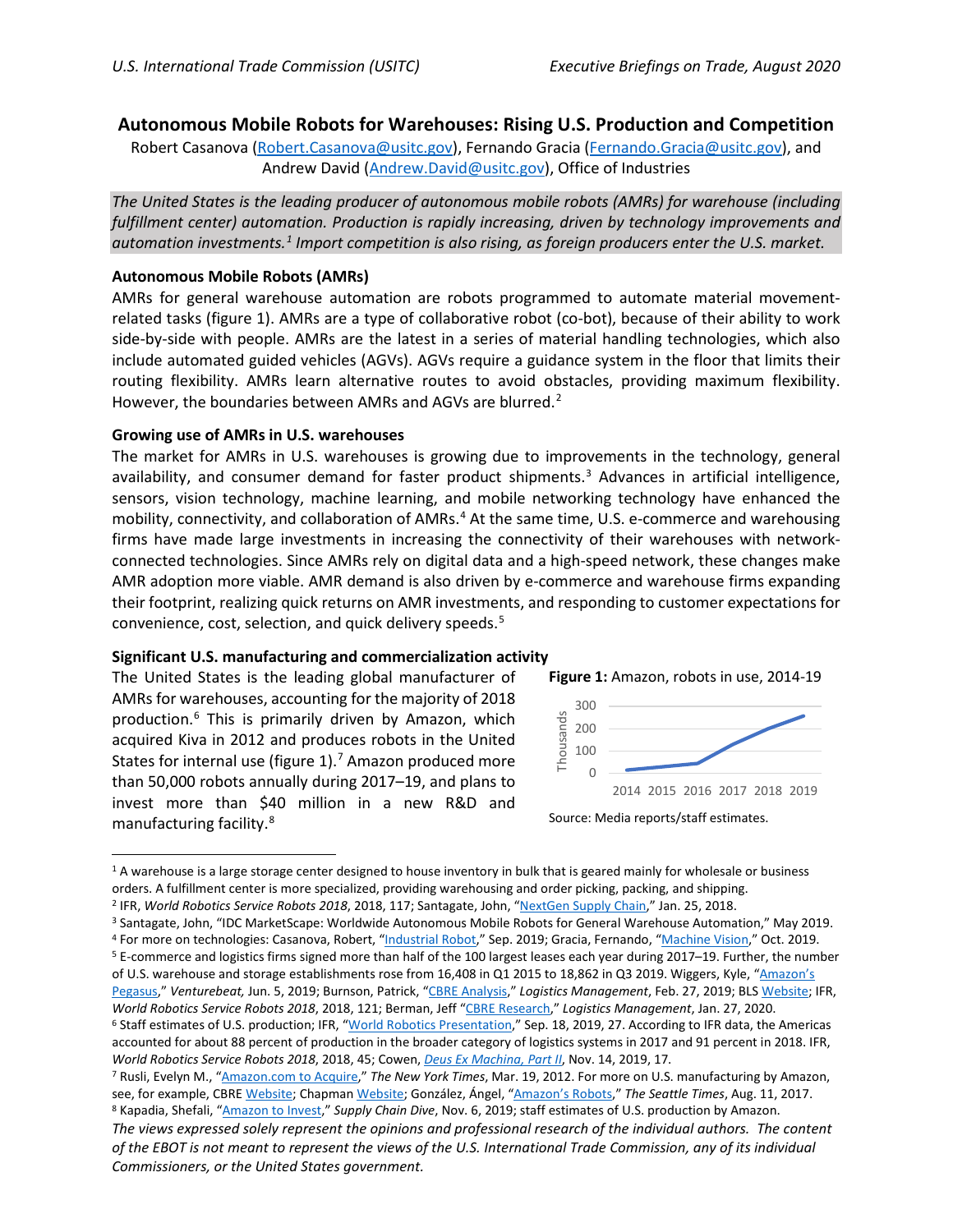# **Autonomous Mobile Robots for Warehouses: Rising U.S. Production and Competition**

Robert Casanova [\(Robert.Casanova@usitc.gov\)](mailto:Robert.Casanova@usitc.gov), Fernando Gracia [\(Fernando.Gracia@usitc.gov\)](mailto:Fernando.Gracia@usitc.gov), and Andrew David [\(Andrew.David@usitc.gov\)](mailto:Andrew.David@usitc.gov), Office of Industries

*The United States is the leading producer of autonomous mobile robots (AMRs) for warehouse (including fulfillment center) automation. Production is rapidly increasing, driven by technology improvements and automation investments. [1](#page-0-0) Import competition is also rising, as foreign producers enter the U.S. market.*

### **Autonomous Mobile Robots (AMRs)**

AMRs for general warehouse automation are robots programmed to automate material movementrelated tasks (figure 1). AMRs are a type of collaborative robot (co-bot), because of their ability to work side-by-side with people. AMRs are the latest in a series of material handling technologies, which also include automated guided vehicles (AGVs). AGVs require a guidance system in the floor that limits their routing flexibility. AMRs learn alternative routes to avoid obstacles, providing maximum flexibility. However, the boundaries between AMRs and AGVs are blurred.<sup>[2](#page-0-1)</sup>

### **Growing use of AMRs in U.S. warehouses**

The market for AMRs in U.S. warehouses is growing due to improvements in the technology, general availability, and consumer demand for faster product shipments.<sup>[3](#page-0-2)</sup> Advances in artificial intelligence, sensors, vision technology, machine learning, and mobile networking technology have enhanced the mobility, connectivity, and collaboration of AMRs. [4](#page-0-3) At the same time, U.S. e-commerce and warehousing firms have made large investments in increasing the connectivity of their warehouses with networkconnected technologies. Since AMRs rely on digital data and a high-speed network, these changes make AMR adoption more viable. AMR demand is also driven by e-commerce and warehouse firms expanding their footprint, realizing quick returns on AMR investments, and responding to customer expectations for convenience, cost, selection, and quick delivery speeds.[5](#page-0-4)

#### **Significant U.S. manufacturing and commercialization activity**

The United States is the leading global manufacturer of AMRs for warehouses, accounting for the majority of 2018 production.<sup>[6](#page-0-5)</sup> This is primarily driven by Amazon, which acquired Kiva in 2012 and produces robots in the United States for internal use (figure 1).<sup>[7](#page-0-6)</sup> Amazon produced more than 50,000 robots annually during 2017–19, and plans to invest more than \$40 million in a new R&D and manufacturing facility.[8](#page-0-7)



Source: Media reports/staff estimates.

<span id="page-0-0"></span><sup>&</sup>lt;sup>1</sup> A warehouse is a large storage center designed to house inventory in bulk that is geared mainly for wholesale or business

<span id="page-0-1"></span>orders. A fulfillment center is more specialized, providing warehousing and order picking, packing, and shipping.<br><sup>2</sup> IFR, World Robotics Service Robots 2018, 2018, 117; Santagate, John, ["NextGen Supply Chain,"](https://www.scmr.com/article/nextgen_supply_chain_the_robots_are_here) Jan. 25, 20

<span id="page-0-3"></span><span id="page-0-2"></span><sup>&</sup>lt;sup>3</sup> Santagate, John, "IDC MarketScape: Worldwide Autonomous Mobile Robots for General Warehouse Automation," May 2019.<br><sup>4</sup> For more on technologies: Casanova, Robert, "<u>Industrial Robot</u>," Sep. 2019; Gracia, Fernando, "<u>Ma</u>

<span id="page-0-4"></span>of U.S. warehouse and storage establishments rose from 16,408 in Q1 2015 to 18,862 in Q3 2019. Wiggers, Kyle, ["Amazon's](https://venturebeat.com/2019/06/05/amazon-says-its-new-pegasus-fulfillment-center-robot-improves-throughput-by-50/) 

[Pegasus,"](https://venturebeat.com/2019/06/05/amazon-says-its-new-pegasus-fulfillment-center-robot-improves-throughput-by-50/) *Venturebeat,* Jun. 5, 2019; Burnson, Patrick, ["CBRE Analysis,](https://www.logisticsmgmt.com/article/cbre_analysis_confirms_e_commerce_and_warehouse_growth_in_2018)" *Logistics Management*, Feb. 27, 2019; BLS [Website;](https://www.bls.gov/iag/tgs/iag493.htm) IFR, *World Robotics Service Robots 2018*, 2018, 121; Berman, Jeff ["CBRE Research,"](https://www.logisticsmgmt.com/article/cbre_research_points_to_steady_demand_for_large_warehouses) *Logistics Management*, Jan. 27, 2020.

<span id="page-0-5"></span><sup>&</sup>lt;sup>6</sup> Staff estimates of U.S. production; IFR, ["World Robotics Presentation,](https://ifr.org/downloads/press2018/IFR%20World%20Robotics%20Presentation%20-%2018%20Sept%202019.pdf)" Sep. 18, 2019, 27. According to IFR data, the Americas accounted for about 88 percent of production in the broader category of logistics systems in 2017 and 91 percent in 2018. IFR, *World Robotics Service Robots 2018*, 2018, 45; Cowen, *[Deus Ex Machina, Part II](https://www.massrobotics.org/wp-content/uploads/2020/02/11-14-19-Deus-Ex-Machina-Part-II-1.pdf)*, Nov. 14, 2019, 17.

<span id="page-0-6"></span><sup>7</sup> Rusli, Evelyn M., ["Amazon.com to Acquire,](https://dealbook.nytimes.com/2012/03/19/amazon-com-buys-kiva-systems-for-775-million/)" *The New York Times*, Mar. 19, 2012. For more on U.S. manufacturing by Amazon, see, for example, CBRE [Website;](https://www.cbre.us/about/media-center/tritower-financial-group-sells-amazon-robotics-headquarters) Chapma[n Website;](https://www.chap-con.com/project/kiva-systems) González, Ángel, ["Amazon's Robots,"](https://www.seattletimes.com/business/amazon/amazons-army-of-robots-job-destroyers-or-dance-partners/) The Seattle Times, Aug. 11, 2017.<br><sup>8</sup> Kapadia, Shefali, ["Amazon to Invest,"](https://www.supplychaindive.com/news/amazon-invest-40m-robotics-hub/566736/) Supply Chain Dive, Nov. 6, 2019; staff estimates of U.S. prod

<span id="page-0-7"></span>*The views expressed solely represent the opinions and professional research of the individual authors. The content of the EBOT is not meant to represent the views of the U.S. International Trade Commission, any of its individual Commissioners, or the United States government.*